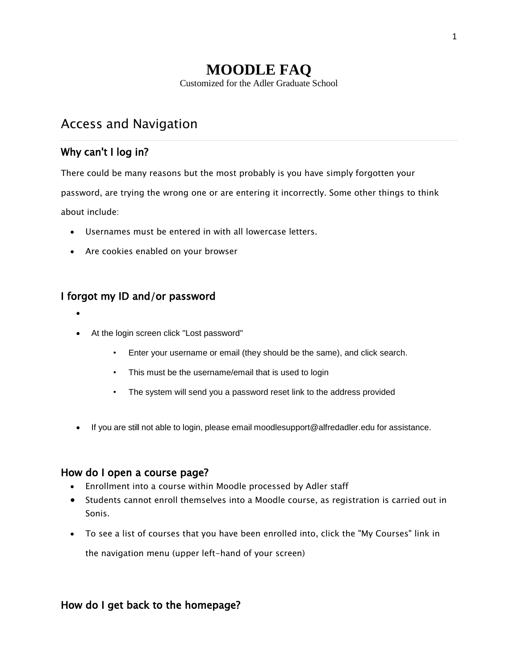# **MOODLE FAQ** Customized for the Adler Graduate School

# Access and Navigation

## Why can't I log in?

There could be many reasons but the most probably is you have simply forgotten your

password, are trying the wrong one or are entering it incorrectly. Some other things to think about include:

- Usernames must be entered in with all lowercase letters.
- Are cookies enabled on your browser

## I forgot my ID and/or password

- $\bullet$
- At the login screen click "Lost password"
	- Enter your username or email (they should be the same), and click search.
	- This must be the username/email that is used to login
	- The system will send you a password reset link to the address provided
- If you are still not able to login, please email [moodlesupport@alfredadler.edu](mailto:moodlesupport@alfredadler.edu) for assistance.

#### How do I open a course page?

- Enrollment into a course within Moodle processed by Adler staff
- Students cannot enroll themselves into a Moodle course, as registration is carried out in Sonis.
- To see a list of courses that you have been enrolled into, click the "My Courses" link in the navigation menu (upper left-hand of your screen)

### How do I get back to the homepage?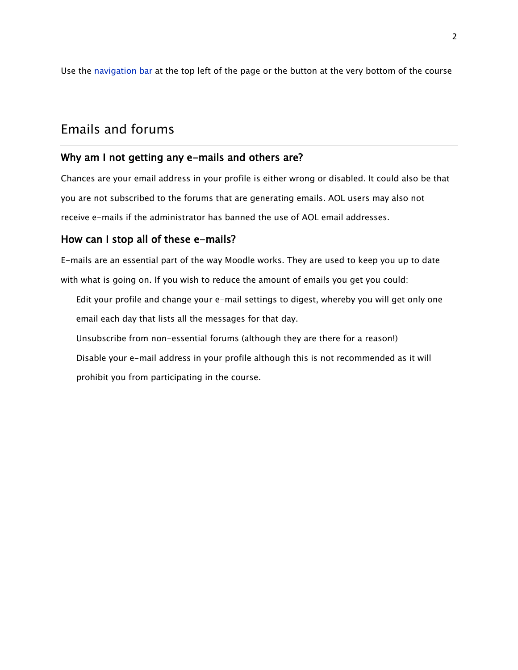Use the [navigation](http://docs.moodle.org/en/Navigation_bar) bar at the top left of the page or the button at the very bottom of the course

# Emails and forums

#### Why am I not getting any e-mails and others are?

Chances are your email address in your profile is either wrong or disabled. It could also be that you are not subscribed to the forums that are generating emails. AOL users may also not receive e-mails if the administrator has banned the use of AOL email addresses.

#### How can I stop all of these e-mails?

E-mails are an essential part of the way Moodle works. They are used to keep you up to date with what is going on. If you wish to reduce the amount of emails you get you could:

- Edit your profile and change your e-mail settings to digest, whereby you will get only one email each day that lists all the messages for that day.
- Unsubscribe from non-essential forums (although they are there for a reason!)
- Disable your e-mail address in your profile although this is not recommended as it will prohibit you from participating in the course.